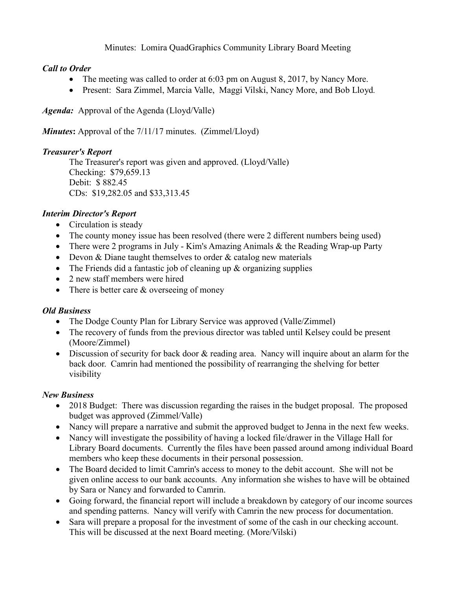## Minutes: Lomira QuadGraphics Community Library Board Meeting

# *Call to Order*

- The meeting was called to order at 6:03 pm on August 8, 2017, by Nancy More.
- Present: Sara Zimmel, Marcia Valle, Maggi Vilski, Nancy More, and Bob Lloyd*.*

*Agenda:* Approval of the Agenda (Lloyd/Valle)

*Minutes***:** Approval of the 7/11/17 minutes. (Zimmel/Lloyd)

## *Treasurer's Report*

The Treasurer's report was given and approved. (Lloyd/Valle) Checking: \$79,659.13 Debit: \$ 882.45 CDs: \$19,282.05 and \$33,313.45

# *Interim Director's Report*

- Circulation is steady
- The county money issue has been resolved (there were 2 different numbers being used)
- There were 2 programs in July Kim's Amazing Animals & the Reading Wrap-up Party
- Devon & Diane taught themselves to order & catalog new materials
- The Friends did a fantastic job of cleaning up & organizing supplies
- 2 new staff members were hired
- There is better care & overseeing of money

## *Old Business*

- The Dodge County Plan for Library Service was approved (Valle/Zimmel)
- The recovery of funds from the previous director was tabled until Kelsey could be present (Moore/Zimmel)
- Discussion of security for back door & reading area. Nancy will inquire about an alarm for the back door. Camrin had mentioned the possibility of rearranging the shelving for better visibility

# *New Business*

- 2018 Budget: There was discussion regarding the raises in the budget proposal. The proposed budget was approved (Zimmel/Valle)
- Nancy will prepare a narrative and submit the approved budget to Jenna in the next few weeks.
- Nancy will investigate the possibility of having a locked file/drawer in the Village Hall for Library Board documents. Currently the files have been passed around among individual Board members who keep these documents in their personal possession.
- The Board decided to limit Camrin's access to money to the debit account. She will not be given online access to our bank accounts. Any information she wishes to have will be obtained by Sara or Nancy and forwarded to Camrin.
- Going forward, the financial report will include a breakdown by category of our income sources and spending patterns. Nancy will verify with Camrin the new process for documentation.
- Sara will prepare a proposal for the investment of some of the cash in our checking account. This will be discussed at the next Board meeting. (More/Vilski)